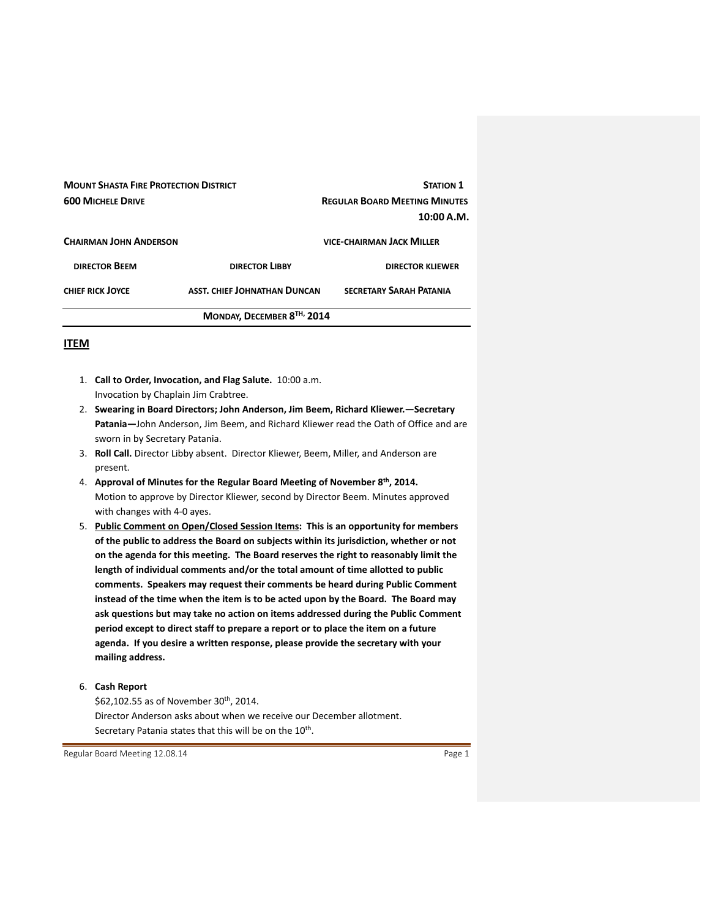| <b>MOUNT SHASTA FIRE PROTECTION DISTRICT</b><br><b>600 MICHELE DRIVE</b> |                              | <b>STATION 1</b><br><b>REGULAR BOARD MEETING MINUTES</b><br>10:00 A.M. |
|--------------------------------------------------------------------------|------------------------------|------------------------------------------------------------------------|
| <b>CHAIRMAN JOHN ANDERSON</b>                                            |                              | <b>VICE-CHAIRMAN JACK MILLER</b>                                       |
| <b>DIRECTOR BEEM</b>                                                     | <b>DIRECTOR LIBBY</b>        | <b>DIRECTOR KLIEWER</b>                                                |
| <b>CHIEF RICK JOYCE</b>                                                  | ASST. CHIEF JOHNATHAN DUNCAN | <b>SECRETARY SARAH PATANIA</b>                                         |
| MONDAY, DECEMBER 8TH, 2014                                               |                              |                                                                        |

# **ITEM**

- 1. **Call to Order, Invocation, and Flag Salute.** 10:00 a.m. Invocation by Chaplain Jim Crabtree.
- 2. **Swearing in Board Directors; John Anderson, Jim Beem, Richard Kliewer.—Secretary Patania—**John Anderson, Jim Beem, and Richard Kliewer read the Oath of Office and are sworn in by Secretary Patania.
- 3. **Roll Call.** Director Libby absent. Director Kliewer, Beem, Miller, and Anderson are present.
- 4. **Approval of Minutes for the Regular Board Meeting of November 8th, 2014.** Motion to approve by Director Kliewer, second by Director Beem. Minutes approved with changes with 4‐0 ayes.
- 5. **Public Comment on Open/Closed Session Items: This is an opportunity for members of the public to address the Board on subjects within its jurisdiction, whether or not on the agenda for this meeting. The Board reserves the right to reasonably limit the length of individual comments and/or the total amount of time allotted to public comments. Speakers may request their comments be heard during Public Comment instead of the time when the item is to be acted upon by the Board. The Board may ask questions but may take no action on items addressed during the Public Comment period except to direct staff to prepare a report or to place the item on a future agenda. If you desire a written response, please provide the secretary with your mailing address.**

6. **Cash Report** 

\$62,102.55 as of November 30<sup>th</sup>, 2014. Director Anderson asks about when we receive our December allotment. Secretary Patania states that this will be on the 10<sup>th</sup>.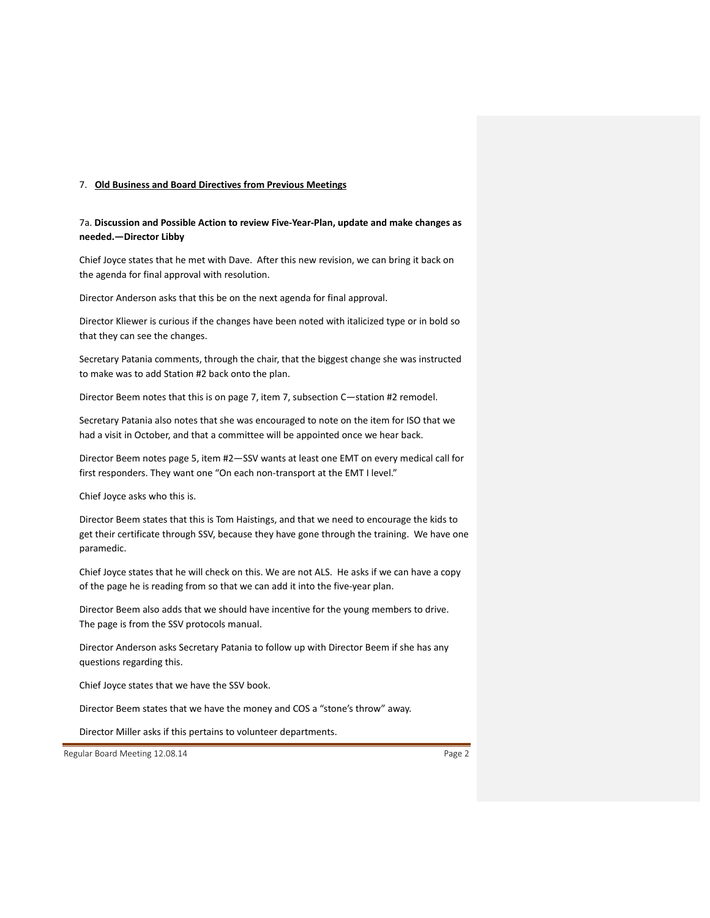#### 7. **Old Business and Board Directives from Previous Meetings**

# 7a. **Discussion and Possible Action to review Five‐Year‐Plan, update and make changes as needed.—Director Libby**

Chief Joyce states that he met with Dave. After this new revision, we can bring it back on the agenda for final approval with resolution.

Director Anderson asks that this be on the next agenda for final approval.

Director Kliewer is curious if the changes have been noted with italicized type or in bold so that they can see the changes.

Secretary Patania comments, through the chair, that the biggest change she was instructed to make was to add Station #2 back onto the plan.

Director Beem notes that this is on page 7, item 7, subsection C—station #2 remodel.

Secretary Patania also notes that she was encouraged to note on the item for ISO that we had a visit in October, and that a committee will be appointed once we hear back.

Director Beem notes page 5, item #2—SSV wants at least one EMT on every medical call for first responders. They want one "On each non-transport at the EMT I level."

Chief Joyce asks who this is.

Director Beem states that this is Tom Haistings, and that we need to encourage the kids to get their certificate through SSV, because they have gone through the training. We have one paramedic.

Chief Joyce states that he will check on this. We are not ALS. He asks if we can have a copy of the page he is reading from so that we can add it into the five‐year plan.

Director Beem also adds that we should have incentive for the young members to drive. The page is from the SSV protocols manual.

Director Anderson asks Secretary Patania to follow up with Director Beem if she has any questions regarding this.

Chief Joyce states that we have the SSV book.

Director Beem states that we have the money and COS a "stone's throw" away.

Director Miller asks if this pertains to volunteer departments.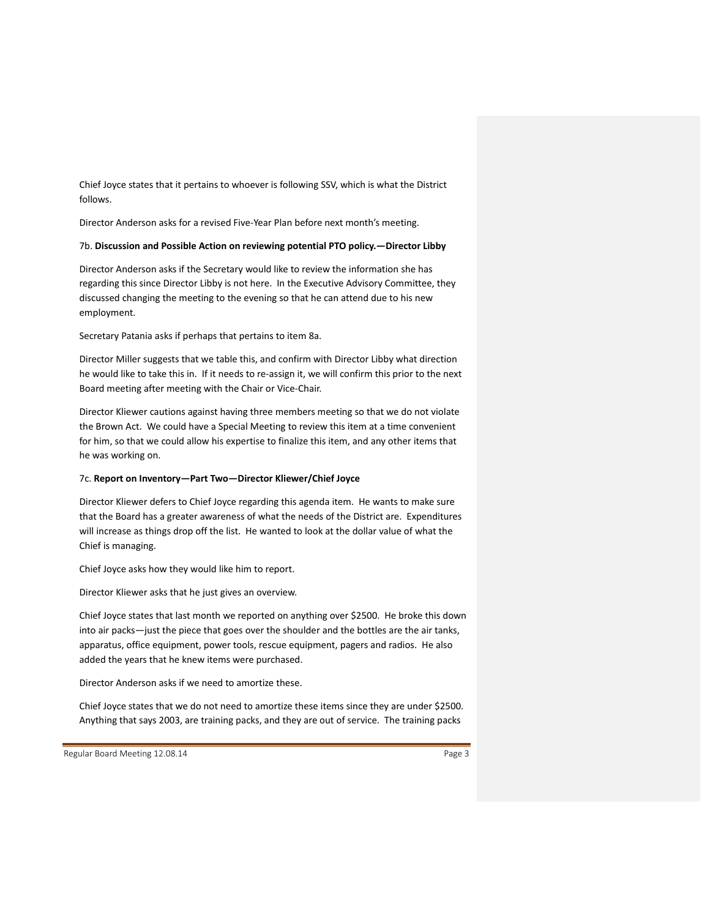Chief Joyce states that it pertains to whoever is following SSV, which is what the District follows.

Director Anderson asks for a revised Five‐Year Plan before next month's meeting.

### 7b. **Discussion and Possible Action on reviewing potential PTO policy.—Director Libby**

Director Anderson asks if the Secretary would like to review the information she has regarding this since Director Libby is not here. In the Executive Advisory Committee, they discussed changing the meeting to the evening so that he can attend due to his new employment.

Secretary Patania asks if perhaps that pertains to item 8a.

Director Miller suggests that we table this, and confirm with Director Libby what direction he would like to take this in. If it needs to re-assign it, we will confirm this prior to the next Board meeting after meeting with the Chair or Vice‐Chair.

Director Kliewer cautions against having three members meeting so that we do not violate the Brown Act. We could have a Special Meeting to review this item at a time convenient for him, so that we could allow his expertise to finalize this item, and any other items that he was working on.

### 7c. **Report on Inventory—Part Two—Director Kliewer/Chief Joyce**

Director Kliewer defers to Chief Joyce regarding this agenda item. He wants to make sure that the Board has a greater awareness of what the needs of the District are. Expenditures will increase as things drop off the list. He wanted to look at the dollar value of what the Chief is managing.

Chief Joyce asks how they would like him to report.

Director Kliewer asks that he just gives an overview.

Chief Joyce states that last month we reported on anything over \$2500. He broke this down into air packs—just the piece that goes over the shoulder and the bottles are the air tanks, apparatus, office equipment, power tools, rescue equipment, pagers and radios. He also added the years that he knew items were purchased.

Director Anderson asks if we need to amortize these.

Chief Joyce states that we do not need to amortize these items since they are under \$2500. Anything that says 2003, are training packs, and they are out of service. The training packs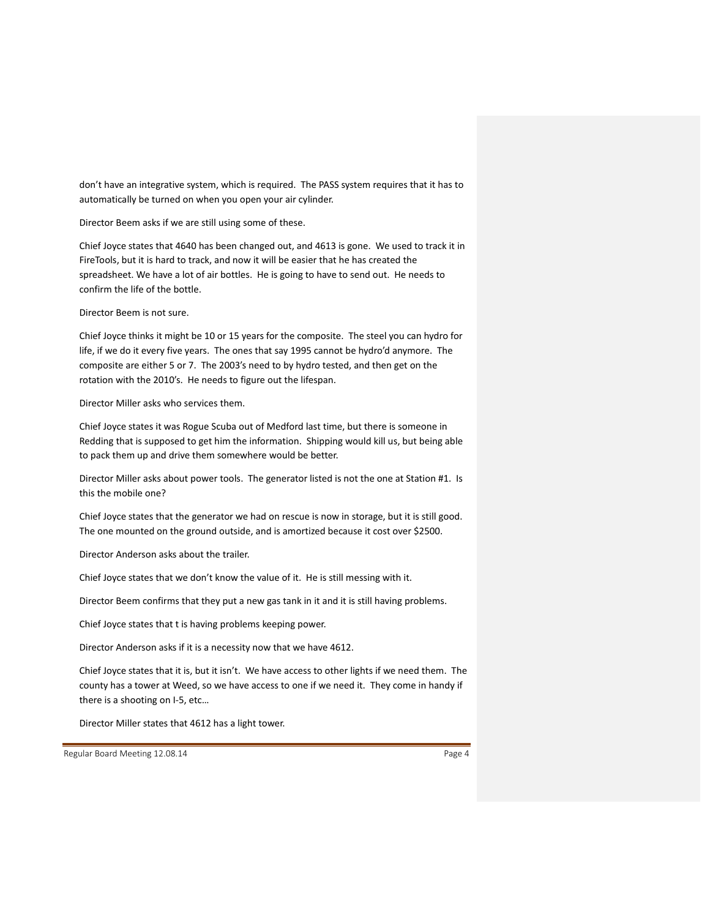don't have an integrative system, which is required. The PASS system requires that it has to automatically be turned on when you open your air cylinder.

Director Beem asks if we are still using some of these.

Chief Joyce states that 4640 has been changed out, and 4613 is gone. We used to track it in FireTools, but it is hard to track, and now it will be easier that he has created the spreadsheet. We have a lot of air bottles. He is going to have to send out. He needs to confirm the life of the bottle.

Director Beem is not sure.

Chief Joyce thinks it might be 10 or 15 years for the composite. The steel you can hydro for life, if we do it every five years. The ones that say 1995 cannot be hydro'd anymore. The composite are either 5 or 7. The 2003's need to by hydro tested, and then get on the rotation with the 2010's. He needs to figure out the lifespan.

Director Miller asks who services them.

Chief Joyce states it was Rogue Scuba out of Medford last time, but there is someone in Redding that is supposed to get him the information. Shipping would kill us, but being able to pack them up and drive them somewhere would be better.

Director Miller asks about power tools. The generator listed is not the one at Station #1. Is this the mobile one?

Chief Joyce states that the generator we had on rescue is now in storage, but it is still good. The one mounted on the ground outside, and is amortized because it cost over \$2500.

Director Anderson asks about the trailer.

Chief Joyce states that we don't know the value of it. He is still messing with it.

Director Beem confirms that they put a new gas tank in it and it is still having problems.

Chief Joyce states that t is having problems keeping power.

Director Anderson asks if it is a necessity now that we have 4612.

Chief Joyce states that it is, but it isn't. We have access to other lights if we need them. The county has a tower at Weed, so we have access to one if we need it. They come in handy if there is a shooting on I‐5, etc…

Director Miller states that 4612 has a light tower.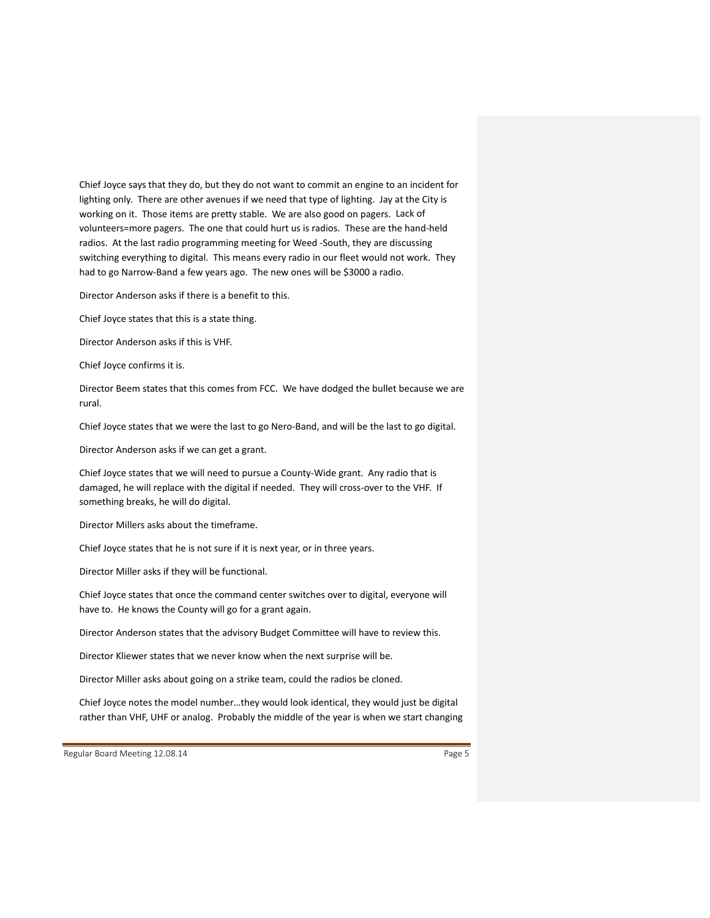Chief Joyce says that they do, but they do not want to commit an engine to an incident for lighting only. There are other avenues if we need that type of lighting. Jay at the City is working on it. Those items are pretty stable. We are also good on pagers. Lack of volunteers=more pagers. The one that could hurt us is radios. These are the hand‐held radios. At the last radio programming meeting for Weed ‐South, they are discussing switching everything to digital. This means every radio in our fleet would not work. They had to go Narrow-Band a few years ago. The new ones will be \$3000 a radio.

Director Anderson asks if there is a benefit to this.

Chief Joyce states that this is a state thing.

Director Anderson asks if this is VHF.

Chief Joyce confirms it is.

Director Beem states that this comes from FCC. We have dodged the bullet because we are rural.

Chief Joyce states that we were the last to go Nero‐Band, and will be the last to go digital.

Director Anderson asks if we can get a grant.

Chief Joyce states that we will need to pursue a County‐Wide grant. Any radio that is damaged, he will replace with the digital if needed. They will cross‐over to the VHF. If something breaks, he will do digital.

Director Millers asks about the timeframe.

Chief Joyce states that he is not sure if it is next year, or in three years.

Director Miller asks if they will be functional.

Chief Joyce states that once the command center switches over to digital, everyone will have to. He knows the County will go for a grant again.

Director Anderson states that the advisory Budget Committee will have to review this.

Director Kliewer states that we never know when the next surprise will be.

Director Miller asks about going on a strike team, could the radios be cloned.

Chief Joyce notes the model number…they would look identical, they would just be digital rather than VHF, UHF or analog. Probably the middle of the year is when we start changing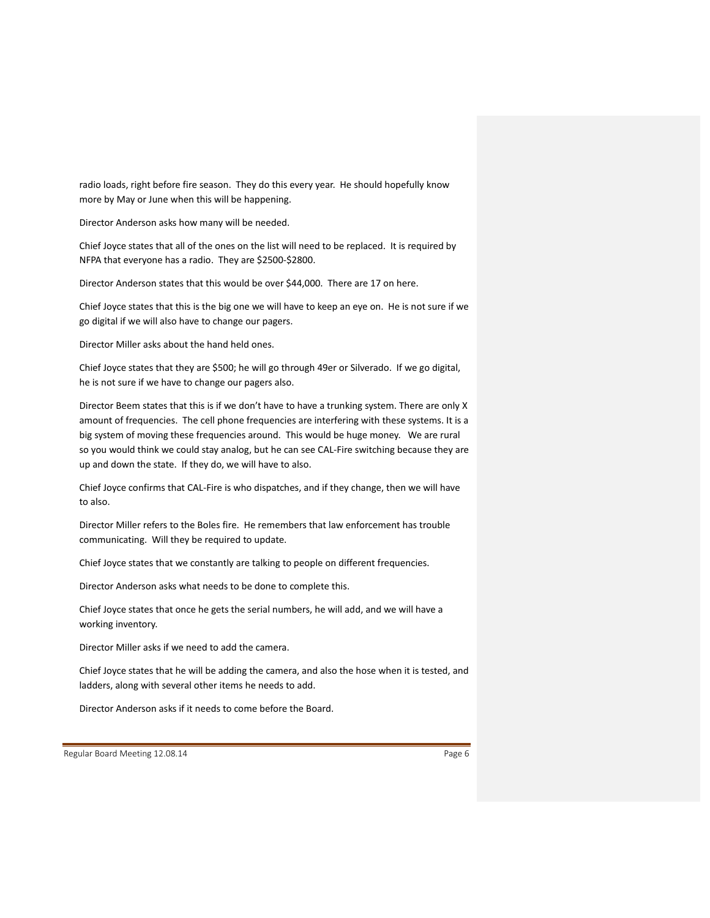radio loads, right before fire season. They do this every year. He should hopefully know more by May or June when this will be happening.

Director Anderson asks how many will be needed.

Chief Joyce states that all of the ones on the list will need to be replaced. It is required by NFPA that everyone has a radio. They are \$2500‐\$2800.

Director Anderson states that this would be over \$44,000. There are 17 on here.

Chief Joyce states that this is the big one we will have to keep an eye on. He is not sure if we go digital if we will also have to change our pagers.

Director Miller asks about the hand held ones.

Chief Joyce states that they are \$500; he will go through 49er or Silverado. If we go digital, he is not sure if we have to change our pagers also.

Director Beem states that this is if we don't have to have a trunking system. There are only X amount of frequencies. The cell phone frequencies are interfering with these systems. It is a big system of moving these frequencies around. This would be huge money. We are rural so you would think we could stay analog, but he can see CAL-Fire switching because they are up and down the state. If they do, we will have to also.

Chief Joyce confirms that CAL‐Fire is who dispatches, and if they change, then we will have to also.

Director Miller refers to the Boles fire. He remembers that law enforcement has trouble communicating. Will they be required to update.

Chief Joyce states that we constantly are talking to people on different frequencies.

Director Anderson asks what needs to be done to complete this.

Chief Joyce states that once he gets the serial numbers, he will add, and we will have a working inventory.

Director Miller asks if we need to add the camera.

Chief Joyce states that he will be adding the camera, and also the hose when it is tested, and ladders, along with several other items he needs to add.

Director Anderson asks if it needs to come before the Board.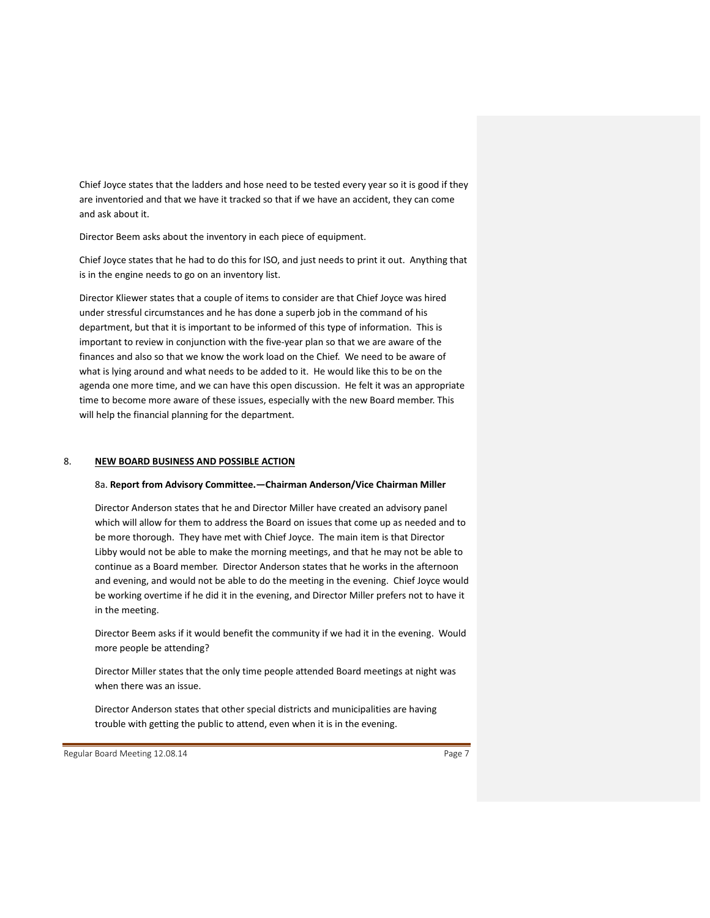Chief Joyce states that the ladders and hose need to be tested every year so it is good if they are inventoried and that we have it tracked so that if we have an accident, they can come and ask about it.

Director Beem asks about the inventory in each piece of equipment.

Chief Joyce states that he had to do this for ISO, and just needs to print it out. Anything that is in the engine needs to go on an inventory list.

Director Kliewer states that a couple of items to consider are that Chief Joyce was hired under stressful circumstances and he has done a superb job in the command of his department, but that it is important to be informed of this type of information. This is important to review in conjunction with the five-year plan so that we are aware of the finances and also so that we know the work load on the Chief. We need to be aware of what is lying around and what needs to be added to it. He would like this to be on the agenda one more time, and we can have this open discussion. He felt it was an appropriate time to become more aware of these issues, especially with the new Board member. This will help the financial planning for the department.

#### 8. **NEW BOARD BUSINESS AND POSSIBLE ACTION**

#### 8a. **Report from Advisory Committee.—Chairman Anderson/Vice Chairman Miller**

Director Anderson states that he and Director Miller have created an advisory panel which will allow for them to address the Board on issues that come up as needed and to be more thorough. They have met with Chief Joyce. The main item is that Director Libby would not be able to make the morning meetings, and that he may not be able to continue as a Board member. Director Anderson states that he works in the afternoon and evening, and would not be able to do the meeting in the evening. Chief Joyce would be working overtime if he did it in the evening, and Director Miller prefers not to have it in the meeting.

Director Beem asks if it would benefit the community if we had it in the evening. Would more people be attending?

Director Miller states that the only time people attended Board meetings at night was when there was an issue.

Director Anderson states that other special districts and municipalities are having trouble with getting the public to attend, even when it is in the evening.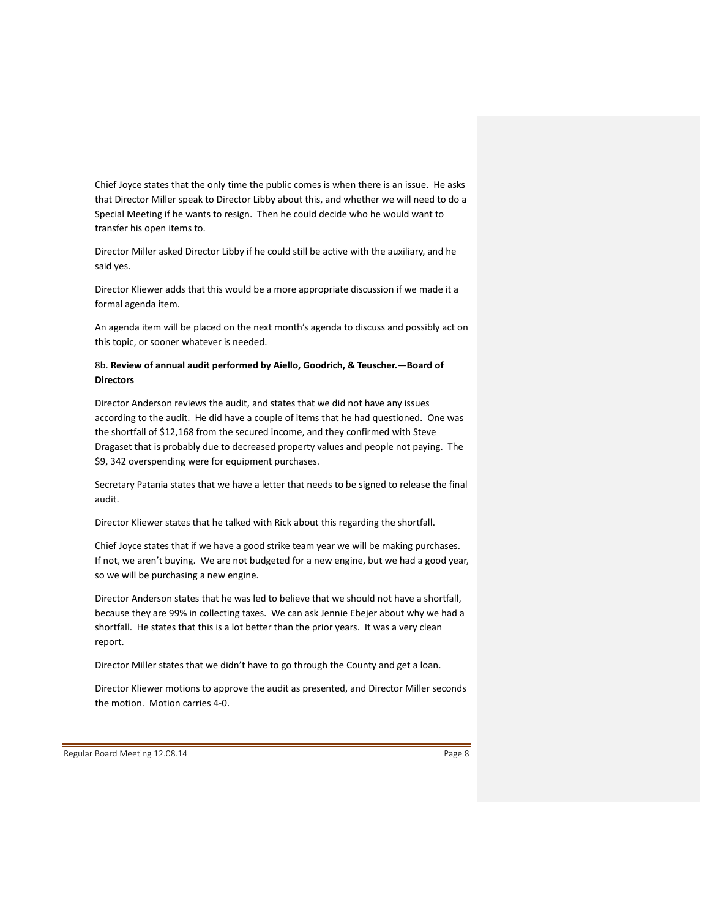Chief Joyce states that the only time the public comes is when there is an issue. He asks that Director Miller speak to Director Libby about this, and whether we will need to do a Special Meeting if he wants to resign. Then he could decide who he would want to transfer his open items to.

Director Miller asked Director Libby if he could still be active with the auxiliary, and he said yes.

Director Kliewer adds that this would be a more appropriate discussion if we made it a formal agenda item.

An agenda item will be placed on the next month's agenda to discuss and possibly act on this topic, or sooner whatever is needed.

## 8b. **Review of annual audit performed by Aiello, Goodrich, & Teuscher.—Board of Directors**

Director Anderson reviews the audit, and states that we did not have any issues according to the audit. He did have a couple of items that he had questioned. One was the shortfall of \$12,168 from the secured income, and they confirmed with Steve Dragaset that is probably due to decreased property values and people not paying. The \$9, 342 overspending were for equipment purchases.

Secretary Patania states that we have a letter that needs to be signed to release the final audit.

Director Kliewer states that he talked with Rick about this regarding the shortfall.

Chief Joyce states that if we have a good strike team year we will be making purchases. If not, we aren't buying. We are not budgeted for a new engine, but we had a good year, so we will be purchasing a new engine.

Director Anderson states that he was led to believe that we should not have a shortfall, because they are 99% in collecting taxes. We can ask Jennie Ebejer about why we had a shortfall. He states that this is a lot better than the prior years. It was a very clean report.

Director Miller states that we didn't have to go through the County and get a loan.

Director Kliewer motions to approve the audit as presented, and Director Miller seconds the motion. Motion carries 4‐0.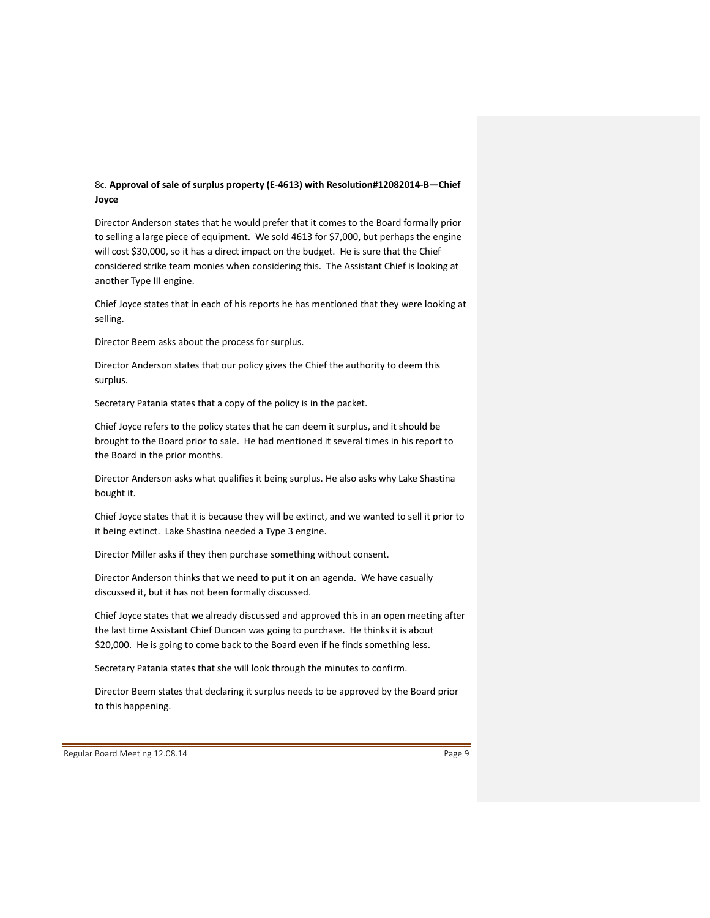# 8c. **Approval of sale of surplus property (E‐4613) with Resolution#12082014‐B—Chief Joyce**

Director Anderson states that he would prefer that it comes to the Board formally prior to selling a large piece of equipment. We sold 4613 for \$7,000, but perhaps the engine will cost \$30,000, so it has a direct impact on the budget. He is sure that the Chief considered strike team monies when considering this. The Assistant Chief is looking at another Type III engine.

Chief Joyce states that in each of his reports he has mentioned that they were looking at selling.

Director Beem asks about the process for surplus.

Director Anderson states that our policy gives the Chief the authority to deem this surplus.

Secretary Patania states that a copy of the policy is in the packet.

Chief Joyce refers to the policy states that he can deem it surplus, and it should be brought to the Board prior to sale. He had mentioned it several times in his report to the Board in the prior months.

Director Anderson asks what qualifies it being surplus. He also asks why Lake Shastina bought it.

Chief Joyce states that it is because they will be extinct, and we wanted to sell it prior to it being extinct. Lake Shastina needed a Type 3 engine.

Director Miller asks if they then purchase something without consent.

Director Anderson thinks that we need to put it on an agenda. We have casually discussed it, but it has not been formally discussed.

Chief Joyce states that we already discussed and approved this in an open meeting after the last time Assistant Chief Duncan was going to purchase. He thinks it is about \$20,000. He is going to come back to the Board even if he finds something less.

Secretary Patania states that she will look through the minutes to confirm.

Director Beem states that declaring it surplus needs to be approved by the Board prior to this happening.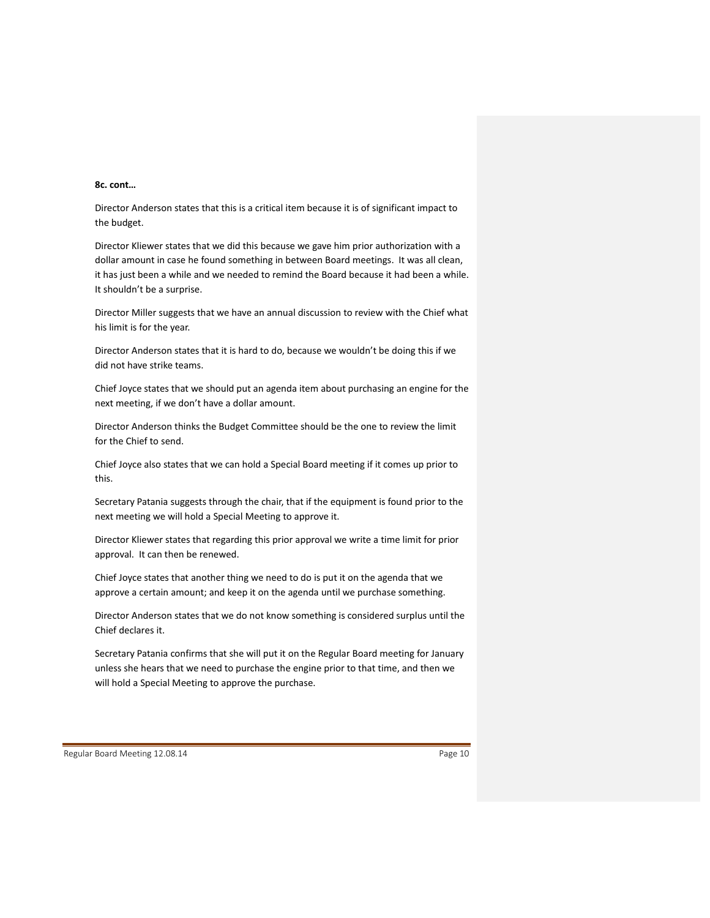## **8c. cont…**

Director Anderson states that this is a critical item because it is of significant impact to the budget.

Director Kliewer states that we did this because we gave him prior authorization with a dollar amount in case he found something in between Board meetings. It was all clean, it has just been a while and we needed to remind the Board because it had been a while. It shouldn't be a surprise.

Director Miller suggests that we have an annual discussion to review with the Chief what his limit is for the year.

Director Anderson states that it is hard to do, because we wouldn't be doing this if we did not have strike teams.

Chief Joyce states that we should put an agenda item about purchasing an engine for the next meeting, if we don't have a dollar amount.

Director Anderson thinks the Budget Committee should be the one to review the limit for the Chief to send.

Chief Joyce also states that we can hold a Special Board meeting if it comes up prior to this.

Secretary Patania suggests through the chair, that if the equipment is found prior to the next meeting we will hold a Special Meeting to approve it.

Director Kliewer states that regarding this prior approval we write a time limit for prior approval. It can then be renewed.

Chief Joyce states that another thing we need to do is put it on the agenda that we approve a certain amount; and keep it on the agenda until we purchase something.

Director Anderson states that we do not know something is considered surplus until the Chief declares it.

Secretary Patania confirms that she will put it on the Regular Board meeting for January unless she hears that we need to purchase the engine prior to that time, and then we will hold a Special Meeting to approve the purchase.

Regular Board Meeting 12.08.14 **Page 10 Page 10 Page 10 Page 10**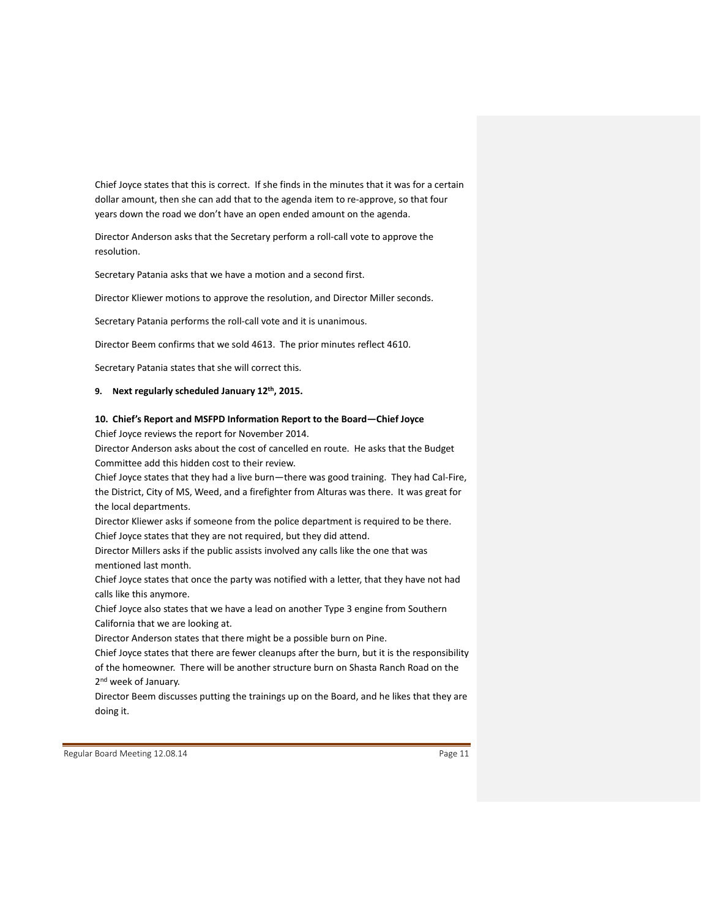Chief Joyce states that this is correct. If she finds in the minutes that it was for a certain dollar amount, then she can add that to the agenda item to re‐approve, so that four years down the road we don't have an open ended amount on the agenda.

Director Anderson asks that the Secretary perform a roll‐call vote to approve the resolution.

Secretary Patania asks that we have a motion and a second first.

Director Kliewer motions to approve the resolution, and Director Miller seconds.

Secretary Patania performs the roll‐call vote and it is unanimous.

Director Beem confirms that we sold 4613. The prior minutes reflect 4610.

Secretary Patania states that she will correct this.

#### **9. Next regularly scheduled January 12th, 2015.**

### **10. Chief's Report and MSFPD Information Report to the Board—Chief Joyce**

Chief Joyce reviews the report for November 2014.

Director Anderson asks about the cost of cancelled en route. He asks that the Budget Committee add this hidden cost to their review.

Chief Joyce states that they had a live burn—there was good training. They had Cal‐Fire, the District, City of MS, Weed, and a firefighter from Alturas was there. It was great for the local departments.

Director Kliewer asks if someone from the police department is required to be there. Chief Joyce states that they are not required, but they did attend.

Director Millers asks if the public assists involved any calls like the one that was mentioned last month.

Chief Joyce states that once the party was notified with a letter, that they have not had calls like this anymore.

Chief Joyce also states that we have a lead on another Type 3 engine from Southern California that we are looking at.

Director Anderson states that there might be a possible burn on Pine.

Chief Joyce states that there are fewer cleanups after the burn, but it is the responsibility of the homeowner. There will be another structure burn on Shasta Ranch Road on the 2<sup>nd</sup> week of January.

Director Beem discusses putting the trainings up on the Board, and he likes that they are doing it.

Regular Board Meeting 12.08.14 **Page 11 Page 11** Page 11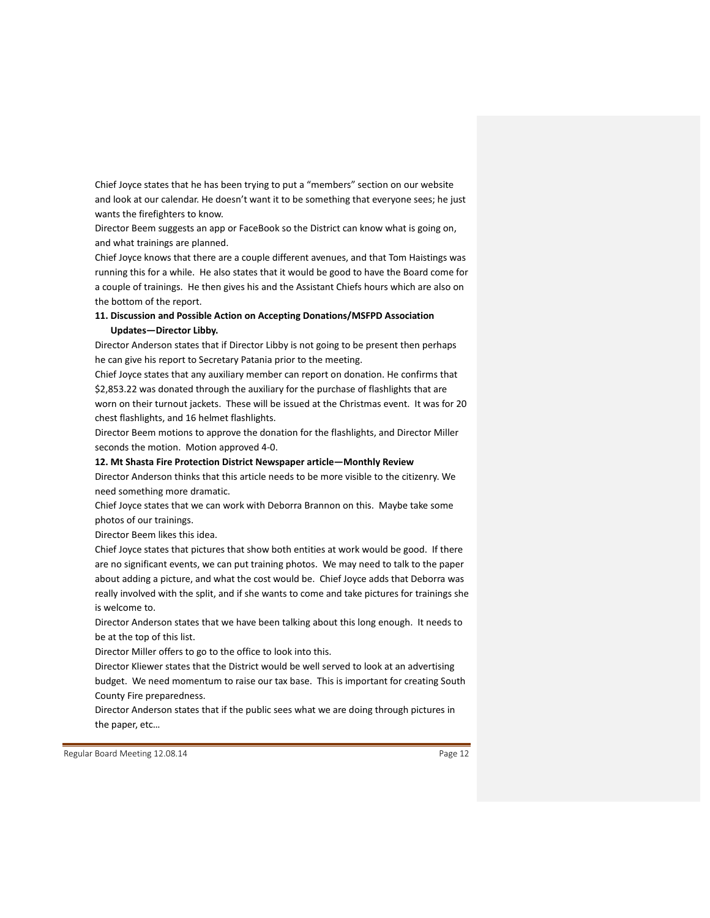Chief Joyce states that he has been trying to put a "members" section on our website and look at our calendar. He doesn't want it to be something that everyone sees; he just wants the firefighters to know.

Director Beem suggests an app or FaceBook so the District can know what is going on, and what trainings are planned.

Chief Joyce knows that there are a couple different avenues, and that Tom Haistings was running this for a while. He also states that it would be good to have the Board come for a couple of trainings. He then gives his and the Assistant Chiefs hours which are also on the bottom of the report.

## **11. Discussion and Possible Action on Accepting Donations/MSFPD Association Updates—Director Libby.**

Director Anderson states that if Director Libby is not going to be present then perhaps he can give his report to Secretary Patania prior to the meeting.

Chief Joyce states that any auxiliary member can report on donation. He confirms that \$2,853.22 was donated through the auxiliary for the purchase of flashlights that are worn on their turnout jackets. These will be issued at the Christmas event. It was for 20 chest flashlights, and 16 helmet flashlights.

Director Beem motions to approve the donation for the flashlights, and Director Miller seconds the motion. Motion approved 4‐0.

#### **12. Mt Shasta Fire Protection District Newspaper article—Monthly Review**

Director Anderson thinks that this article needs to be more visible to the citizenry. We need something more dramatic.

Chief Joyce states that we can work with Deborra Brannon on this. Maybe take some photos of our trainings.

Director Beem likes this idea.

Chief Joyce states that pictures that show both entities at work would be good. If there are no significant events, we can put training photos. We may need to talk to the paper about adding a picture, and what the cost would be. Chief Joyce adds that Deborra was really involved with the split, and if she wants to come and take pictures for trainings she is welcome to.

Director Anderson states that we have been talking about this long enough. It needs to be at the top of this list.

Director Miller offers to go to the office to look into this.

Director Kliewer states that the District would be well served to look at an advertising budget. We need momentum to raise our tax base. This is important for creating South County Fire preparedness.

Director Anderson states that if the public sees what we are doing through pictures in the paper, etc…

Regular Board Meeting 12.08.14 **Page 12 Page 12 Page 12 Page 12**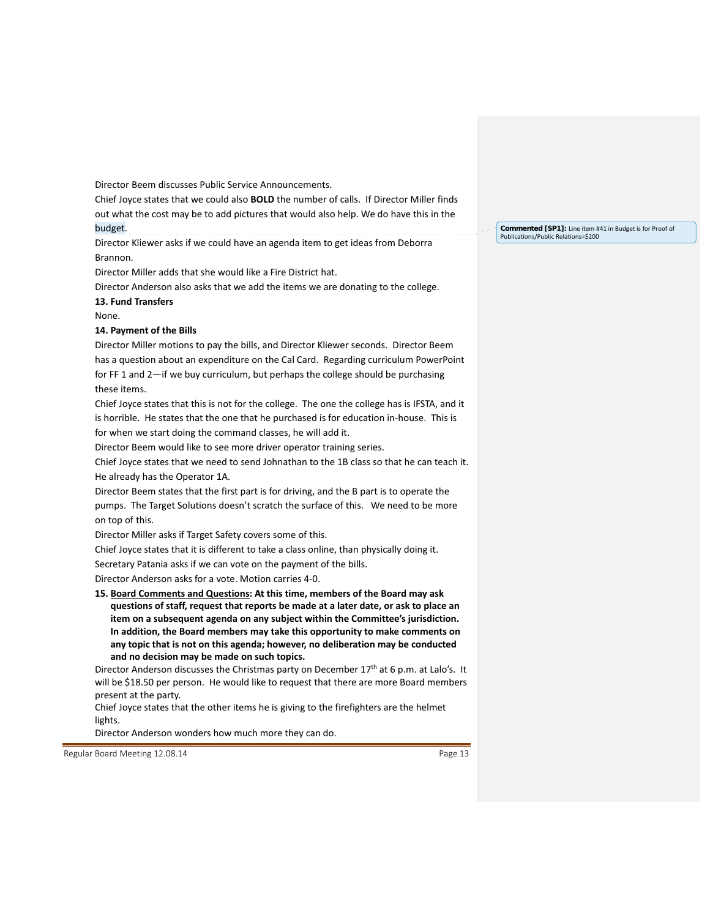Director Beem discusses Public Service Announcements.

Chief Joyce states that we could also **BOLD** the number of calls. If Director Miller finds out what the cost may be to add pictures that would also help. We do have this in the budget.

Director Kliewer asks if we could have an agenda item to get ideas from Deborra Brannon.

Director Miller adds that she would like a Fire District hat.

Director Anderson also asks that we add the items we are donating to the college. **13. Fund Transfers**

None.

### **14. Payment of the Bills**

Director Miller motions to pay the bills, and Director Kliewer seconds. Director Beem has a question about an expenditure on the Cal Card. Regarding curriculum PowerPoint for FF 1 and 2—if we buy curriculum, but perhaps the college should be purchasing these items.

Chief Joyce states that this is not for the college. The one the college has is IFSTA, and it is horrible. He states that the one that he purchased is for education in‐house. This is for when we start doing the command classes, he will add it.

Director Beem would like to see more driver operator training series.

Chief Joyce states that we need to send Johnathan to the 1B class so that he can teach it. He already has the Operator 1A.

Director Beem states that the first part is for driving, and the B part is to operate the pumps. The Target Solutions doesn't scratch the surface of this. We need to be more on top of this.

Director Miller asks if Target Safety covers some of this.

Chief Joyce states that it is different to take a class online, than physically doing it.

Secretary Patania asks if we can vote on the payment of the bills.

Director Anderson asks for a vote. Motion carries 4‐0.

**15. Board Comments and Questions: At this time, members of the Board may ask questions of staff, request that reports be made at a later date, or ask to place an item on a subsequent agenda on any subject within the Committee's jurisdiction. In addition, the Board members may take this opportunity to make comments on any topic that is not on this agenda; however, no deliberation may be conducted and no decision may be made on such topics.**

Director Anderson discusses the Christmas party on December  $17<sup>th</sup>$  at 6 p.m. at Lalo's. It will be \$18.50 per person. He would like to request that there are more Board members present at the party.

Chief Joyce states that the other items he is giving to the firefighters are the helmet lights.

Director Anderson wonders how much more they can do.

Regular Board Meeting 12.08.14 **Page 13** Page 13

**Commented [SP1]:** Line item #41 in Budget is for Proof of Publications/Public Relations=\$200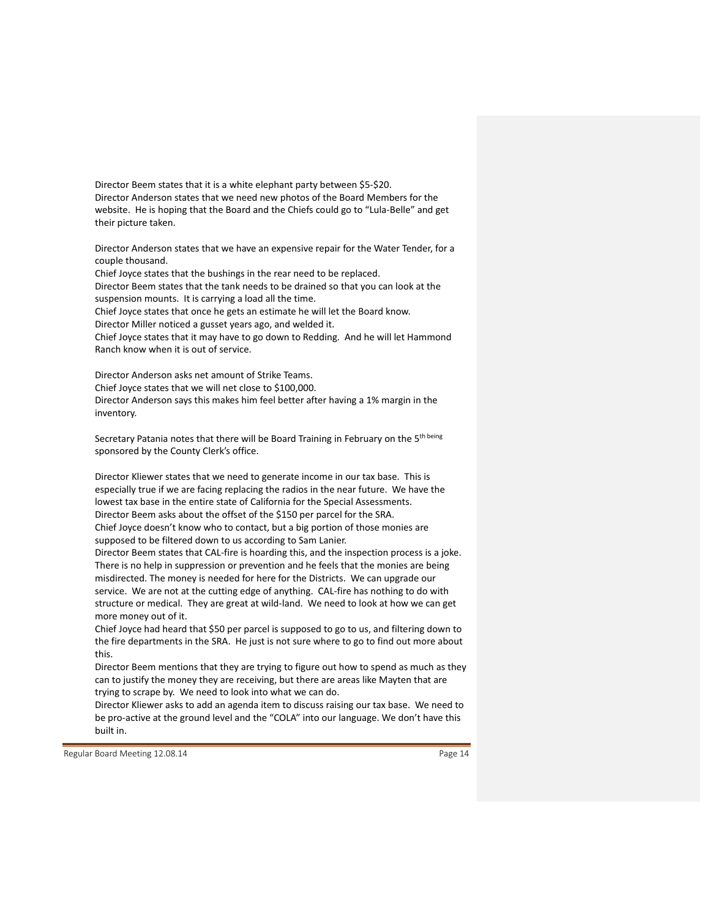Director Beem states that it is a white elephant party between \$5‐\$20. Director Anderson states that we need new photos of the Board Members for the website. He is hoping that the Board and the Chiefs could go to "Lula‐Belle" and get their picture taken.

Director Anderson states that we have an expensive repair for the Water Tender, for a couple thousand.

Chief Joyce states that the bushings in the rear need to be replaced.

Director Beem states that the tank needs to be drained so that you can look at the suspension mounts. It is carrying a load all the time.

Chief Joyce states that once he gets an estimate he will let the Board know.

Director Miller noticed a gusset years ago, and welded it.

Chief Joyce states that it may have to go down to Redding. And he will let Hammond Ranch know when it is out of service.

Director Anderson asks net amount of Strike Teams. Chief Joyce states that we will net close to \$100,000. Director Anderson says this makes him feel better after having a 1% margin in the inventory.

Secretary Patania notes that there will be Board Training in February on the 5<sup>th being</sup> sponsored by the County Clerk's office.

Director Kliewer states that we need to generate income in our tax base. This is especially true if we are facing replacing the radios in the near future. We have the lowest tax base in the entire state of California for the Special Assessments. Director Beem asks about the offset of the \$150 per parcel for the SRA. Chief Joyce doesn't know who to contact, but a big portion of those monies are supposed to be filtered down to us according to Sam Lanier.

Director Beem states that CAL‐fire is hoarding this, and the inspection process is a joke. There is no help in suppression or prevention and he feels that the monies are being misdirected. The money is needed for here for the Districts. We can upgrade our service. We are not at the cutting edge of anything. CAL-fire has nothing to do with structure or medical. They are great at wild‐land. We need to look at how we can get more money out of it.

Chief Joyce had heard that \$50 per parcel is supposed to go to us, and filtering down to the fire departments in the SRA. He just is not sure where to go to find out more about this.

Director Beem mentions that they are trying to figure out how to spend as much as they can to justify the money they are receiving, but there are areas like Mayten that are trying to scrape by. We need to look into what we can do.

Director Kliewer asks to add an agenda item to discuss raising our tax base. We need to be pro-active at the ground level and the "COLA" into our language. We don't have this built in.

Regular Board Meeting 12.08.14 **Page 14** Page 14